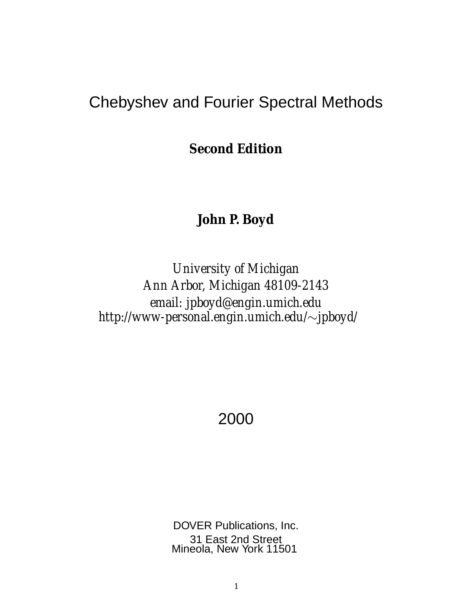## Chebyshev and Fourier Spectral Methods

**Second Edition**

**John P. Boyd**

*University of Michigan Ann Arbor, Michigan 48109-2143 email: jpboyd@engin.umich.edu http://www-personal.engin.umich.edu/*∼*jpboyd/*

2000

DOVER Publications, Inc. 31 East 2nd Street Mineola, New York 11501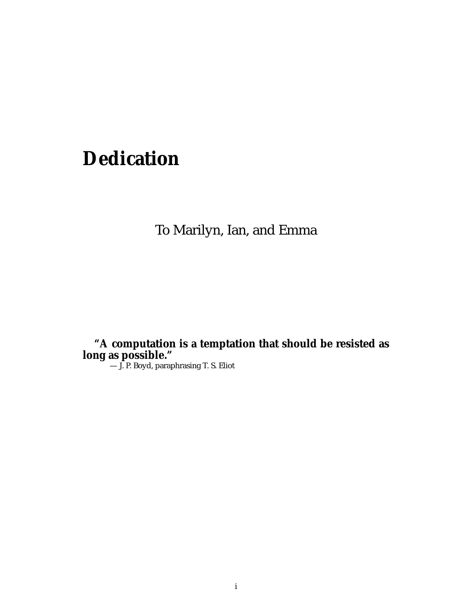# **Dedication**

To Marilyn, Ian, and Emma

**"A computation is a temptation that should be resisted as long as possible."**

— J. P. Boyd, paraphrasing T. S. Eliot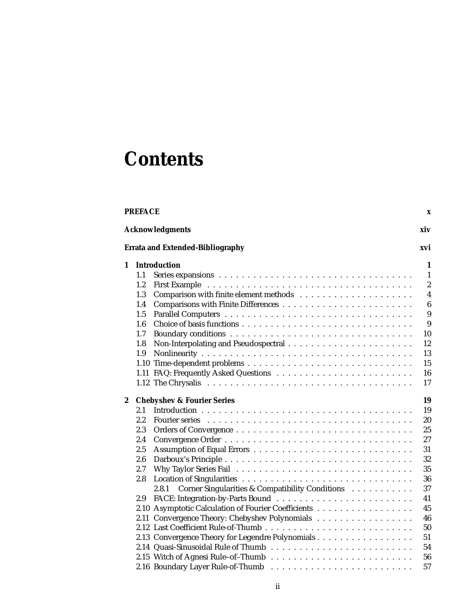# **Contents**

| <b>Acknowledgments</b>                                    |                  |
|-----------------------------------------------------------|------------------|
|                                                           | xiv              |
| <b>Errata and Extended-Bibliography</b>                   | xvi              |
| <b>Introduction</b><br>1                                  | 1                |
| 1.1                                                       | $\mathbf{1}$     |
| 1.2                                                       | $\boldsymbol{2}$ |
| 1.3                                                       | $\boldsymbol{4}$ |
| 1.4                                                       | $\boldsymbol{6}$ |
| 1.5                                                       | 9                |
| 1.6                                                       | 9                |
| 1.7                                                       | 10               |
| 1.8                                                       | 12               |
| 1.9                                                       | 13               |
|                                                           | 15               |
|                                                           | 16               |
|                                                           | 17               |
| $\boldsymbol{2}$<br><b>Chebyshev &amp; Fourier Series</b> | 19               |
| 2.1                                                       | 19               |
| 2.2                                                       | 20               |
| 2.3                                                       | 25               |
| 2.4                                                       | 27               |
| 2.5                                                       | 31               |
| 2.6                                                       | 32               |
| 2.7                                                       | 35               |
| 2.8                                                       | 36               |
| Corner Singularities & Compatibility Conditions<br>2.8.1  | 37               |
| 2.9                                                       | 41               |
| 2.10 Asymptotic Calculation of Fourier Coefficients       | 45               |
| 2.11 Convergence Theory: Chebyshev Polynomials            | 46               |
|                                                           | 50               |
| 2.13 Convergence Theory for Legendre Polynomials          | 51               |
|                                                           | 54               |
|                                                           | 56               |
|                                                           | 57               |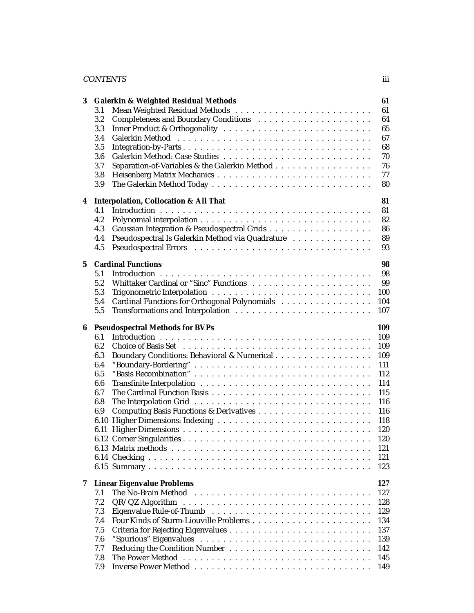### CONTENTS iii

| 3               |     | <b>Galerkin &amp; Weighted Residual Methods</b>                                                  | 61  |
|-----------------|-----|--------------------------------------------------------------------------------------------------|-----|
|                 | 3.1 |                                                                                                  | 61  |
|                 | 3.2 |                                                                                                  | 64  |
|                 | 3.3 |                                                                                                  | 65  |
|                 | 3.4 |                                                                                                  | 67  |
|                 | 3.5 |                                                                                                  | 68  |
|                 | 3.6 |                                                                                                  | 70  |
|                 |     |                                                                                                  |     |
|                 | 3.7 | Separation-of-Variables & the Galerkin Method                                                    | 76  |
|                 | 3.8 |                                                                                                  | 77  |
|                 | 3.9 |                                                                                                  | 80  |
|                 |     |                                                                                                  |     |
| 4               |     | <b>Interpolation, Collocation &amp; All That</b>                                                 | 81  |
|                 | 4.1 |                                                                                                  | 81  |
|                 | 4.2 |                                                                                                  | 82  |
|                 | 4.3 |                                                                                                  | 86  |
|                 | 4.4 | Pseudospectral Is Galerkin Method via Quadrature                                                 | 89  |
|                 | 4.5 |                                                                                                  | 93  |
|                 |     |                                                                                                  |     |
| $5\overline{ }$ |     | <b>Cardinal Functions</b>                                                                        | 98  |
|                 | 5.1 |                                                                                                  | 98  |
|                 | 5.2 |                                                                                                  | 99  |
|                 | 5.3 |                                                                                                  | 100 |
|                 | 5.4 | Cardinal Functions for Orthogonal Polynomials                                                    | 104 |
|                 | 5.5 |                                                                                                  | 107 |
|                 |     |                                                                                                  |     |
| 6               |     | <b>Pseudospectral Methods for BVPs</b>                                                           | 109 |
|                 | 6.1 |                                                                                                  | 109 |
|                 | 6.2 |                                                                                                  | 109 |
|                 |     |                                                                                                  |     |
|                 | 6.3 | Boundary Conditions: Behavioral & Numerical                                                      | 109 |
|                 | 6.4 | "Boundary-Bordering"                                                                             | 111 |
|                 | 6.5 | "Basis Recombination"                                                                            | 112 |
|                 | 6.6 |                                                                                                  | 114 |
|                 | 6.7 |                                                                                                  | 115 |
|                 | 6.8 |                                                                                                  | 116 |
|                 | 6.9 |                                                                                                  | 116 |
|                 |     |                                                                                                  | 118 |
|                 |     |                                                                                                  |     |
|                 |     |                                                                                                  | 120 |
|                 |     |                                                                                                  | 120 |
|                 |     |                                                                                                  | 121 |
|                 |     |                                                                                                  | 121 |
|                 |     |                                                                                                  | 123 |
|                 |     |                                                                                                  |     |
| 7               |     | <b>Linear Eigenvalue Problems</b>                                                                | 127 |
|                 | 7.1 | The No-Brain Method                                                                              | 127 |
|                 | 7.2 | $QR/QZ$ Algorithm $\ldots \ldots \ldots \ldots \ldots \ldots \ldots \ldots \ldots \ldots \ldots$ | 128 |
|                 | 7.3 |                                                                                                  | 129 |
|                 | 7.4 |                                                                                                  | 134 |
|                 | 7.5 |                                                                                                  | 137 |
|                 |     |                                                                                                  | 139 |
|                 | 7.6 |                                                                                                  |     |
|                 | 7.7 |                                                                                                  | 142 |
|                 | 7.8 |                                                                                                  | 145 |
|                 | 7.9 |                                                                                                  | 149 |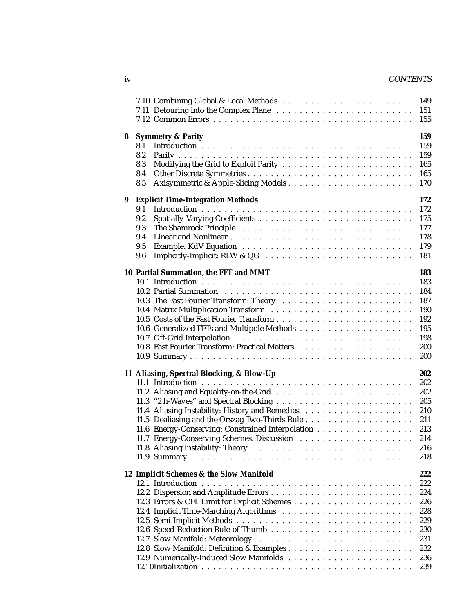### iv CONTENTS

|   |                                                                                                                                              | 149<br>151<br>155                                                         |
|---|----------------------------------------------------------------------------------------------------------------------------------------------|---------------------------------------------------------------------------|
| 8 | <b>Symmetry &amp; Parity</b><br>8.1<br>8.2<br>8.3<br>8.4<br>8.5                                                                              | 159<br>159<br>159<br>165<br>165<br>170                                    |
| 9 | <b>Explicit Time-Integration Methods</b><br>9.1<br>9.2<br>9.3<br>9.4<br>9.5<br>9.6                                                           | 172<br>172<br>175<br>177<br>178<br>179<br>181                             |
|   | 10 Partial Summation, the FFT and MMT<br>10.3 The Fast Fourier Transform: Theory                                                             | 183<br>183<br>184<br>187<br>190<br>192<br>195<br>198<br>200<br>200        |
|   | 11 Aliasing, Spectral Blocking, & Blow-Up<br>11.6 Energy-Conserving: Constrained Interpolation<br>11.7 Energy-Conserving Schemes: Discussion | 202<br>202<br>202<br>205<br>210<br>211<br>213<br>214<br>216<br>218        |
|   | 12 Implicit Schemes & the Slow Manifold                                                                                                      | 222<br>222<br>224<br>226<br>228<br>229<br>230<br>231<br>232<br>236<br>239 |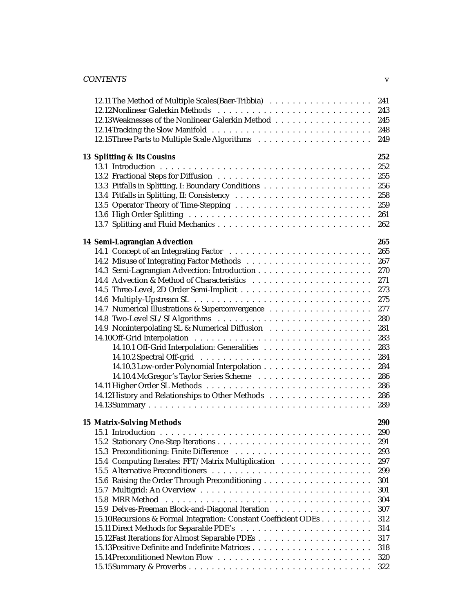| <b>CONTENTS</b> | - - |
|-----------------|-----|
|-----------------|-----|

| 12.13 Weaknesses of the Nonlinear Galerkin Method<br>13 Splitting & Its Cousins                                                                                                                                | 241<br>243<br>245<br>248<br>249<br>252<br>252<br>255<br>256<br>258<br>259                                                  |
|----------------------------------------------------------------------------------------------------------------------------------------------------------------------------------------------------------------|----------------------------------------------------------------------------------------------------------------------------|
|                                                                                                                                                                                                                | 261<br>262                                                                                                                 |
| 14 Semi-Lagrangian Advection                                                                                                                                                                                   | 265<br>265<br>267<br>270<br>271<br>273<br>275<br>277<br>280<br>281<br>283<br>283<br>284<br>284<br>286<br>286<br>286<br>289 |
| <b>15 Matrix-Solving Methods</b><br>15.4 Computing Iterates: FFT/Matrix Multiplication<br>15.9 Delves-Freeman Block-and-Diagonal Iteration<br>15.10 Recursions & Formal Integration: Constant Coefficient ODEs | 290<br>290<br>291<br>293<br>297<br>299<br>301<br>301<br>304<br>307<br>312<br>314<br>317<br>318<br>320<br>322               |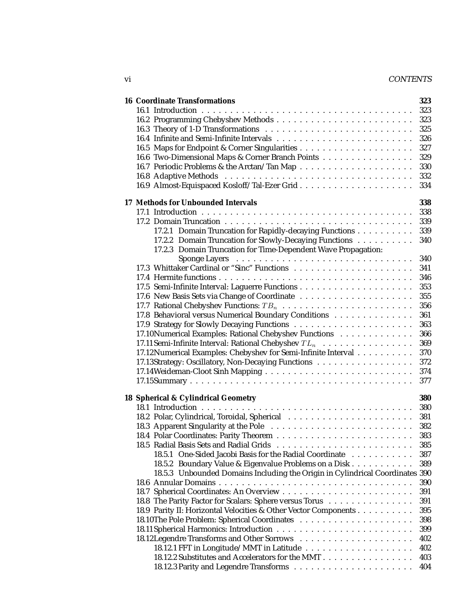### vi CONTENTS

| <b>16 Coordinate Transformations</b>                                         | 323 |
|------------------------------------------------------------------------------|-----|
|                                                                              | 323 |
|                                                                              | 323 |
|                                                                              | 325 |
|                                                                              | 326 |
|                                                                              | 327 |
| 16.6 Two-Dimensional Maps & Corner Branch Points                             | 329 |
|                                                                              | 330 |
|                                                                              | 332 |
|                                                                              | 334 |
|                                                                              |     |
| 17 Methods for Unbounded Intervals                                           | 338 |
|                                                                              | 338 |
|                                                                              | 339 |
| 17.2.1 Domain Truncation for Rapidly-decaying Functions                      | 339 |
| 17.2.2 Domain Truncation for Slowly-Decaying Functions                       | 340 |
| 17.2.3 Domain Truncation for Time-Dependent Wave Propagation:                |     |
|                                                                              | 340 |
|                                                                              | 341 |
|                                                                              | 346 |
|                                                                              | 353 |
| 17.6 New Basis Sets via Change of Coordinate                                 | 355 |
|                                                                              | 356 |
| 17.8 Behavioral versus Numerical Boundary Conditions                         | 361 |
|                                                                              | 363 |
| 17.10 Numerical Examples: Rational Chebyshev Functions                       | 366 |
|                                                                              | 369 |
| 17.12 Numerical Examples: Chebyshev for Semi-Infinite Interval               | 370 |
| 17.13Strategy: Oscillatory, Non-Decaying Functions                           | 372 |
|                                                                              | 374 |
|                                                                              | 377 |
|                                                                              |     |
| 18 Spherical & Cylindrical Geometry                                          | 380 |
|                                                                              | 380 |
|                                                                              | 381 |
|                                                                              | 382 |
|                                                                              | 383 |
|                                                                              | 385 |
| 18.5.1 One-Sided Jacobi Basis for the Radial Coordinate                      | 387 |
| 18.5.2 Boundary Value & Eigenvalue Problems on a Disk                        | 389 |
| 18.5.3 Unbounded Domains Including the Origin in Cylindrical Coordinates 390 |     |
|                                                                              | 390 |
|                                                                              | 391 |
| 18.8 The Parity Factor for Scalars: Sphere versus Torus                      | 391 |
| 18.9 Parity II: Horizontal Velocities & Other Vector Components              | 395 |
|                                                                              | 398 |
|                                                                              | 399 |
|                                                                              | 402 |
|                                                                              | 402 |
| 18.12.2 Substitutes and Accelerators for the MMT                             | 403 |
|                                                                              | 404 |
|                                                                              |     |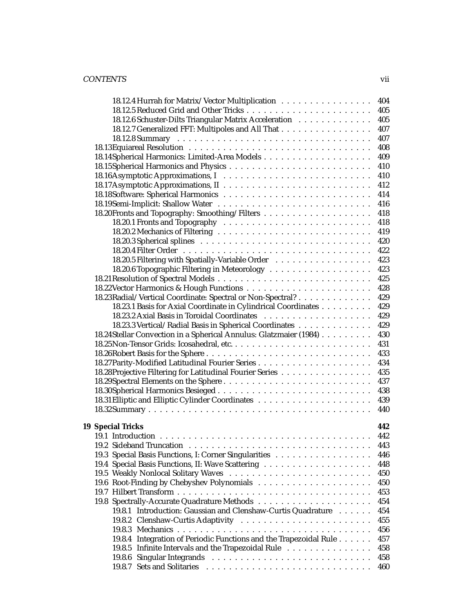### CONTENTS vii

| 18.12.4 Hurrah for Matrix/Vector Multiplication                    |  | 404 |
|--------------------------------------------------------------------|--|-----|
|                                                                    |  | 405 |
| 18.12.6 Schuster-Dilts Triangular Matrix Acceleration              |  | 405 |
| 18.12.7 Generalized FFT: Multipoles and All That                   |  | 407 |
|                                                                    |  | 407 |
|                                                                    |  | 408 |
|                                                                    |  | 409 |
|                                                                    |  | 410 |
|                                                                    |  | 410 |
|                                                                    |  | 412 |
|                                                                    |  | 414 |
|                                                                    |  | 416 |
|                                                                    |  | 418 |
|                                                                    |  | 418 |
|                                                                    |  | 419 |
|                                                                    |  | 420 |
|                                                                    |  | 422 |
| 18.20.5 Filtering with Spatially-Variable Order                    |  | 423 |
|                                                                    |  | 423 |
|                                                                    |  | 425 |
|                                                                    |  | 428 |
| 18.23 Radial/Vertical Coordinate: Spectral or Non-Spectral?        |  | 429 |
| 18.23.1 Basis for Axial Coordinate in Cylindrical Coordinates      |  | 429 |
|                                                                    |  | 429 |
| 18.23.3 Vertical/Radial Basis in Spherical Coordinates             |  | 429 |
| 18.24 Stellar Convection in a Spherical Annulus: Glatzmaier (1984) |  | 430 |
|                                                                    |  | 431 |
|                                                                    |  | 433 |
|                                                                    |  | 434 |
| 18.28 Projective Filtering for Latitudinal Fourier Series          |  | 435 |
|                                                                    |  | 437 |
|                                                                    |  | 438 |
|                                                                    |  | 439 |
|                                                                    |  | 440 |
|                                                                    |  |     |
| <b>19 Special Tricks</b>                                           |  | 442 |
|                                                                    |  | 442 |
|                                                                    |  | 443 |
| 19.3 Special Basis Functions, I: Corner Singularities              |  | 446 |
|                                                                    |  | 448 |
|                                                                    |  | 450 |
|                                                                    |  | 450 |
|                                                                    |  | 453 |
|                                                                    |  | 454 |
| 19.8.1 Introduction: Gaussian and Clenshaw-Curtis Quadrature       |  | 454 |
|                                                                    |  | 455 |
|                                                                    |  | 456 |
| 19.8.4 Integration of Periodic Functions and the Trapezoidal Rule  |  | 457 |
| 19.8.5 Infinite Intervals and the Trapezoidal Rule                 |  | 458 |
|                                                                    |  | 458 |
|                                                                    |  | 460 |
|                                                                    |  |     |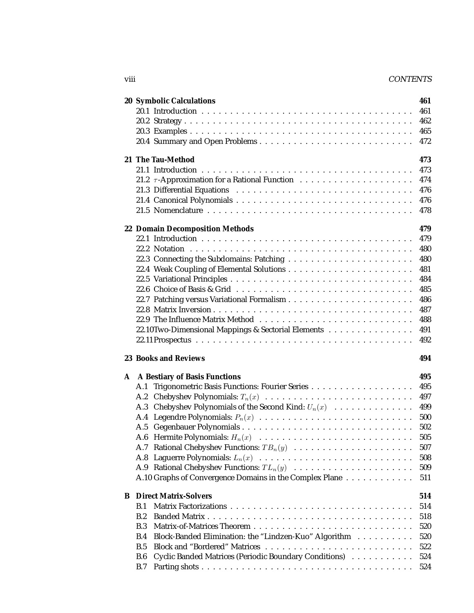### viii CONTENTS

|            | <b>20 Symbolic Calculations</b>                         |  |  |  | 461        |
|------------|---------------------------------------------------------|--|--|--|------------|
|            |                                                         |  |  |  | 461        |
|            |                                                         |  |  |  | 462        |
|            |                                                         |  |  |  | 465        |
|            |                                                         |  |  |  | 472        |
|            |                                                         |  |  |  |            |
|            | 21 The Tau-Method                                       |  |  |  | 473        |
|            |                                                         |  |  |  | 473        |
|            |                                                         |  |  |  | 474        |
|            |                                                         |  |  |  | 476        |
|            |                                                         |  |  |  | 476        |
|            |                                                         |  |  |  | 478        |
|            | <b>22 Domain Decomposition Methods</b>                  |  |  |  | 479        |
|            |                                                         |  |  |  | 479        |
|            |                                                         |  |  |  | 480        |
|            |                                                         |  |  |  | 480        |
|            |                                                         |  |  |  | 481        |
|            |                                                         |  |  |  | 484        |
|            |                                                         |  |  |  | 485        |
|            |                                                         |  |  |  | 486        |
|            |                                                         |  |  |  | 487        |
|            |                                                         |  |  |  |            |
|            |                                                         |  |  |  | 488        |
|            | 22.10Two-Dimensional Mappings & Sectorial Elements      |  |  |  | 491        |
|            |                                                         |  |  |  | 492        |
|            |                                                         |  |  |  |            |
|            | <b>23 Books and Reviews</b>                             |  |  |  | 494        |
|            |                                                         |  |  |  |            |
|            | A A Bestiary of Basis Functions                         |  |  |  | 495        |
| A.1        |                                                         |  |  |  | 495        |
|            | A.2 Chebyshev Polynomials: $T_n(x)$                     |  |  |  | 497        |
|            | A.3 Chebyshev Polynomials of the Second Kind: $U_n(x)$  |  |  |  | 499        |
|            | A.4 Legendre Polynomials: $P_n(x)$                      |  |  |  | 500        |
| A.5        |                                                         |  |  |  | 502        |
|            |                                                         |  |  |  | 505        |
|            | A.7 Rational Chebyshev Functions: $TB_n(y)$             |  |  |  | 507        |
|            |                                                         |  |  |  | 508        |
|            | A.9 Rational Chebyshev Functions: $TL_n(y)$             |  |  |  | 509        |
|            | A.10 Graphs of Convergence Domains in the Complex Plane |  |  |  | 511        |
|            |                                                         |  |  |  |            |
| B.1        | <b>B</b> Direct Matrix-Solvers                          |  |  |  | 514        |
|            |                                                         |  |  |  | 514        |
| B.2        |                                                         |  |  |  | 518        |
| B.3        |                                                         |  |  |  | 520        |
| B.4        | Block-Banded Elimination: the "Lindzen-Kuo" Algorithm   |  |  |  | 520        |
| B.5        |                                                         |  |  |  | 522        |
| B.6<br>B.7 | Cyclic Banded Matrices (Periodic Boundary Conditions)   |  |  |  | 524<br>524 |